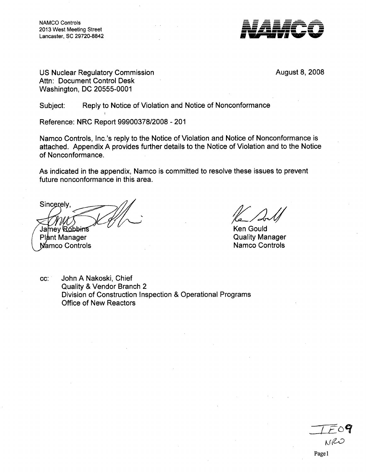NAMCO Controls 2013 West Meeting Street  $Lancaster, SC 29720-8842$ 



US Nuclear Regulatory Commission **August 8, 2008** August 8, 2008 Attn: Document Control Desk Washington, DC 20555-0001

Subject: Reply to Notice of Violation and Notice of Nonconformance

Reference: NRC Report 99900378/2008 - 201

Namco Controls, Inc.'s reply to the Notice of Violation and Notice of Nonconformance is attached. Appendix A provides further details to the Notice of Violation and to the Notice of Nonconformance.

As indicated in the appendix, Namco is committed to resolve these issues to prevent future nonconformance in this area.

Sincerely Jamey Robbins

Plant Manager **Namco Controls** 

Ken Gould Quality Manager Namco Controls

cc: John A Nakoski, Chief Quality & Vendor Branch 2 Division of Construction Inspection & Operational Programs Office of New Reactors

NRO Page 1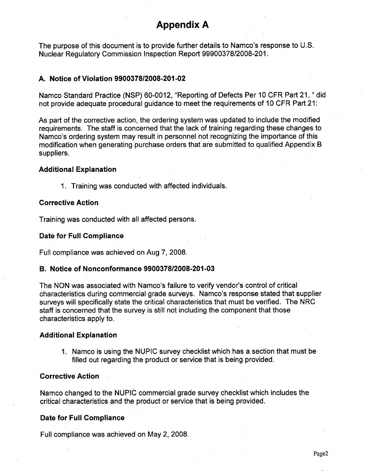# Appendix **A**

The purpose of this document is to provide further details to Namco's response to U.S. Nuclear Regulatory Commission Inspection Report 99900378/2008-201.

# A. Notice of Violation **9900378/2008-201-02**

Namco Standard Practice (NSP) 60-0012, "Reporting of Defects Per 10 CFR Part 21, " did not provide adequate procedural guidance to meet the requirements of 10 CFR Part 21:

As part of the corrective action, the ordering system was updated to include the modified requirements. The staff is concerned that the lack of training regarding these changes to Namco's ordering system may result in personnel not recognizing the importance of this modification when generating purchase orders that are submitted to qualified Appendix B suppliers.

## Additional Explanation

**1.** Training was conducted with affected individuals.

## Corrective Action

Training was conducted with all affected persons.

## Date for Full Compliance

Full compliance was achieved on Aug **7, 2008.**

# B. Notice of Nonconformance **9900378/2008-201-03**

The **NON** was associated with Namco's failure to verify vendor's control of critical characteristics during commercial grade surveys. Namco's response stated that supplier surveys will specifically state the critical characteristics that must be verified. The NRC staff is concerned that the survey is still not including the component that those characteristics apply to.

#### Additional Explanation

1. Namco is using the NUPIC survey checklist which has a section that must be filled out regarding the product or service that is being provided.

#### Corrective Action

Namco changed to the NUPIC commercial grade survey checklist which includes the critical characteristics and the product or service that is being provided.

# Date for Full Compliance

Full compliance was achieved on May 2, 2008.